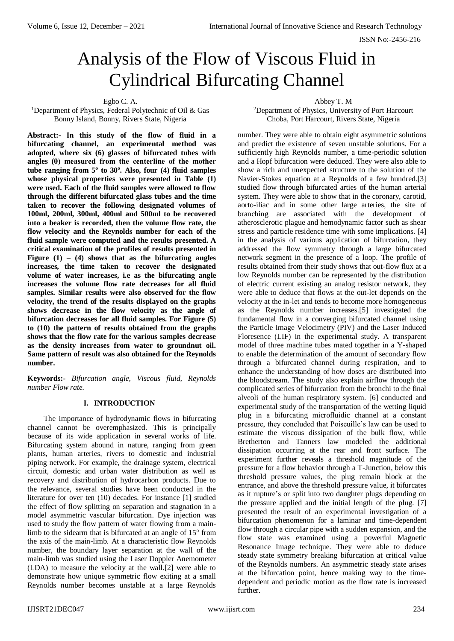# Analysis of the Flow of Viscous Fluid in Cylindrical Bifurcating Channel

Egbo C. A.

<sup>1</sup>Department of Physics, Federal Polytechnic of Oil & Gas Bonny Island, Bonny, Rivers State, Nigeria

**Abstract:- In this study of the flow of fluid in a bifurcating channel, an experimental method was adopted, where six (6) glasses of bifurcated tubes with angles (θ) measured from the centerline of the mother tube ranging from 5<sup>o</sup> to 30<sup>o</sup> . Also, four (4) fluid samples whose physical properties were presented in Table (1) were used. Each of the fluid samples were allowed to flow through the different bifurcated glass tubes and the time taken to recover the following designated volumes of 100ml, 200ml, 300ml, 400ml and 500ml to be recovered into a beaker is recorded, then the volume flow rate, the flow velocity and the Reynolds number for each of the fluid sample were computed and the results presented. A critical examination of the profiles of results presented in Figure**  $(1) - (4)$  **shows that as the bifurcating angles increases, the time taken to recover the designated volume of water increases, i.e as the bifurcating angle increases the volume flow rate decreases for all fluid samples. Similar results were also observed for the flow velocity, the trend of the results displayed on the graphs shows decrease in the flow velocity as the angle of bifurcation decreases for all fluid samples. For Figure (5) to (10) the pattern of results obtained from the graphs shows that the flow rate for the various samples decrease as the density increases from water to groundnut oil. Same pattern of result was also obtained for the Reynolds number.**

**Keywords:-** *Bifurcation angle, Viscous fluid, Reynolds number Flow rate.*

# **I. INTRODUCTION**

The importance of hydrodynamic flows in bifurcating channel cannot be overemphasized. This is principally because of its wide application in several works of life. Bifurcating system abound in nature, ranging from green plants, human arteries, rivers to domestic and industrial piping network. For example, the drainage system, electrical circuit, domestic and urban water distribution as well as recovery and distribution of hydrocarbon products. Due to the relevance, several studies have been conducted in the literature for over ten (10) decades. For instance [1] studied the effect of flow splitting on separation and stagnation in a model asymmetric vascular bifurcation. Dye injection was used to study the flow pattern of water flowing from a mainlimb to the sidearm that is bifurcated at an angle of  $15^{\circ}$  from the axis of the main-limb. At a characteristic flow Reynolds number, the boundary layer separation at the wall of the main-limb was studied using the Laser Doppler Anemometer (LDA) to measure the velocity at the wall.[2] were able to demonstrate how unique symmetric flow exiting at a small Reynolds number becomes unstable at a large Reynolds

Abbey T. M

<sup>2</sup>Department of Physics, University of Port Harcourt Choba, Port Harcourt, Rivers State, Nigeria

number. They were able to obtain eight asymmetric solutions and predict the existence of seven unstable solutions. For a sufficiently high Reynolds number, a time-periodic solution and a Hopf bifurcation were deduced. They were also able to show a rich and unexpected structure to the solution of the Navier-Stokes equation at a Reynolds of a few hundred.[3] studied flow through bifurcated arties of the human arterial system. They were able to show that in the coronary, carotid, aorto-iliac and in some other large arteries, the site of branching are associated with the development of atherosclerotic plague and hemodynamic factor such as shear stress and particle residence time with some implications. [4] in the analysis of various application of bifurcation, they addressed the flow symmetry through a large bifurcated network segment in the presence of a loop. The profile of results obtained from their study shows that out-flow flux at a low Reynolds number can be represented by the distribution of electric current existing an analog resistor network, they were able to deduce that flows at the out-let depends on the velocity at the in-let and tends to become more homogeneous as the Reynolds number increases.[5] investigated the fundamental flow in a converging bifurcated channel using the Particle Image Velocimetry (PIV) and the Laser Induced Floresence (LIF) in the experimental study. A transparent model of three machine tubes mated together in a Y-shaped to enable the determination of the amount of secondary flow through a bifurcated channel during respiration, and to enhance the understanding of how doses are distributed into the bloodstream. The study also explain airflow through the complicated series of bifurcation from the bronchi to the final alveoli of the human respiratory system. [6] conducted and experimental study of the transportation of the wetting liquid plug in a bifurcating microfluidic channel at a constant pressure, they concluded that Poiseuille's law can be used to estimate the viscous dissipation of the bulk flow, while Bretherton and Tanners law modeled the additional dissipation occurring at the rear and front surface. The experiment further reveals a threshold magnitude of the pressure for a flow behavior through a T-Junction, below this threshold pressure values, the plug remain block at the entrance, and above the threshold pressure value, it bifurcates as it rupture's or split into two daughter plugs depending on the pressure applied and the initial length of the plug. [7] presented the result of an experimental investigation of a bifurcation phenomenon for a laminar and time-dependent flow through a circular pipe with a sudden expansion, and the flow state was examined using a powerful Magnetic Resonance Image technique. They were able to deduce steady state symmetry breaking bifurcation at critical value of the Reynolds numbers. An asymmetric steady state arises at the bifurcation point, hence making way to the timedependent and periodic motion as the flow rate is increased further.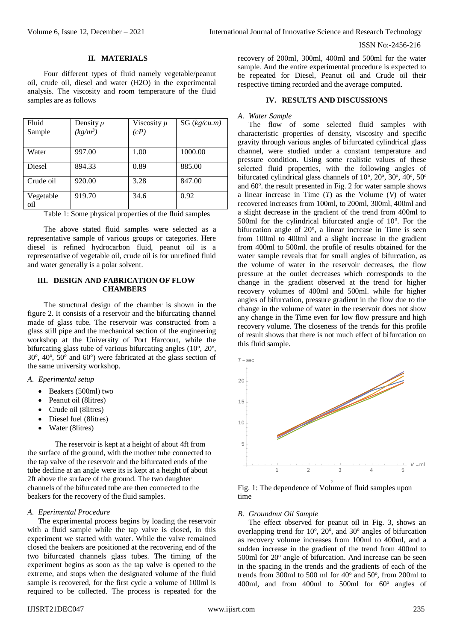## ISSN No:-2456-216

## **II. MATERIALS**

Four different types of fluid namely vegetable/peanut oil, crude oil, diesel and water (H2O) in the experimental analysis. The viscosity and room temperature of the fluid samples are as follows

| Fluid            | Density $\rho$ | Viscosity $\mu$ | SG (kg/cu.m) |
|------------------|----------------|-----------------|--------------|
| Sample           | $(kg/m^3)$     | (cP)            |              |
|                  |                |                 |              |
| Water            | 997.00         | 1.00            | 1000.00      |
| Diesel           | 894.33         | 0.89            | 885.00       |
| Crude oil        | 920.00         | 3.28            | 847.00       |
| Vegetable<br>oil | 919.70         | 34.6            | 0.92         |

Table 1: Some physical properties of the fluid samples

The above stated fluid samples were selected as a representative sample of various groups or categories. Here diesel is refined hydrocarbon fluid, peanut oil is a representative of vegetable oil, crude oil is for unrefined fluid and water generally is a polar solvent.

# **III. DESIGN AND FABRICATION OF FLOW CHAMBERS**

The structural design of the chamber is shown in the figure 2. It consists of a reservoir and the bifurcating channel made of glass tube. The reservoir was constructed from a glass still pipe and the mechanical section of the engineering workshop at the University of Port Harcourt, while the bifurcating glass tube of various bifurcating angles  $(10^{\circ}, 20^{\circ},$  $30^\circ$ ,  $40^\circ$ ,  $50^\circ$  and  $60^\circ$ ) were fabricated at the glass section of the same university workshop.

## *A. Eperimental setup*

- Beakers (500ml) two
- Peanut oil (8litres)
- Crude oil (8litres)
- Diesel fuel (8litres)
- Water (8litres)

The reservoir is kept at a height of about 4ft from the surface of the ground, with the mother tube connected to the tap valve of the reservoir and the bifurcated ends of the tube decline at an angle were its is kept at a height of about 2ft above the surface of the ground. The two daughter channels of the bifurcated tube are then connected to the beakers for the recovery of the fluid samples.

## *A. Eperimental Procedure*

The experimental process begins by loading the reservoir with a fluid sample while the tap valve is closed, in this experiment we started with water. While the valve remained closed the beakers are positioned at the recovering end of the two bifurcated channels glass tubes. The timing of the experiment begins as soon as the tap valve is opened to the extreme, and stops when the designated volume of the fluid sample is recovered, for the first cycle a volume of 100ml is required to be collected. The process is repeated for the recovery of 200ml, 300ml, 400ml and 500ml for the water sample. And the entire experimental procedure is expected to be repeated for Diesel, Peanut oil and Crude oil their respective timing recorded and the average computed.

## **IV. RESULTS AND DISCUSSIONS**

#### *A. Water Sample*

The flow of some selected fluid samples with characteristic properties of density, viscosity and specific gravity through various angles of bifurcated cylindrical glass channel, were studied under a constant temperature and pressure condition. Using some realistic values of these selected fluid properties, with the following angles of bifurcated cylindrical glass channels of 10°, 20°, 30°, 40°, 50° and 60°. the result presented in Fig. 2 for water sample shows a linear increase in Time (*T*) as the Volume (*V*) of water recovered increases from 100ml, to 200ml, 300ml, 400ml and a slight decrease in the gradient of the trend from 400ml to 500 $m$ l for the cylindrical bifurcated angle of  $10^{\circ}$ . For the bifurcation angle of  $20^{\circ}$ , a linear increase in Time is seen from 100ml to 400ml and a slight increase in the gradient from 400ml to 500ml. the profile of results obtained for the water sample reveals that for small angles of bifurcation, as the volume of water in the reservoir decreases, the flow pressure at the outlet decreases which corresponds to the change in the gradient observed at the trend for higher recovery volumes of 400ml and 500ml. while for higher angles of bifurcation, pressure gradient in the flow due to the change in the volume of water in the reservoir does not show any change in the Time even for low flow pressure and high recovery volume. The closeness of the trends for this profile of result shows that there is not much effect of bifurcation on this fluid sample.



Fig. 1: The dependence of Volume of fluid samples upon time

## *B. Groundnut Oil Sample*

The effect observed for peanut oil in Fig. 3, shows an overlapping trend for 10°, 20°, and 30° angles of bifurcation as recovery volume increases from 100ml to 400ml, and a sudden increase in the gradient of the trend from 400ml to 500ml for 20° angle of bifurcation. And increase can be seen in the spacing in the trends and the gradients of each of the trends from 300ml to 500 ml for 40° and 50°, from 200ml to 400ml, and from 400ml to 500ml for 60° angles of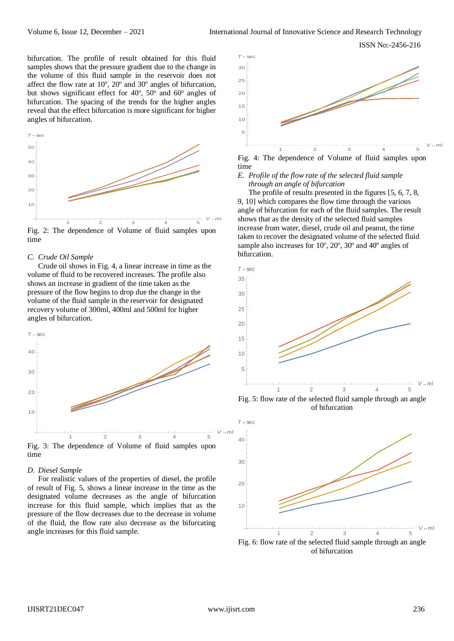ISSN No:-2456-216

bifurcation. The profile of result obtained for this fluid samples shows that the pressure gradient due to the change in the volume of this fluid sample in the reservoir does not affect the flow rate at  $10^{\circ}$ ,  $20^{\circ}$  and  $30^{\circ}$  angles of bifurcation, but shows significant effect for  $40^\circ$ ,  $50^\circ$  and  $60^\circ$  angles of bifurcation. The spacing of the trends for the higher angles reveal that the effect bifurcation is more significant for higher angles of bifurcation.



Fig. 2: The dependence of Volume of fluid samples upon time

#### *C. Crude Oil Sample*

Crude oil shows in Fig. 4, a linear increase in time as the volume of fluid to be recovered increases. The profile also shows an increase in gradient of the time taken as the pressure of the flow begins to drop due the change in the volume of the fluid sample in the reservoir for designated recovery volume of 300ml, 400ml and 500ml for higher angles of bifurcation.



#### *D. Diesel Sample*

For realistic values of the properties of diesel, the profile of result of Fig. 5, shows a linear increase in the time as the designated volume decreases as the angle of bifurcation increase for this fluid sample, which implies that as the pressure of the flow decreases due to the decrease in volume of the fluid, the flow rate also decrease as the bifurcating angle increases for this fluid sample.



*E. Profile of the flow rate of the selected fluid sample through an angle of bifurcation* 

The profile of results presented in the figures [5, 6, 7, 8, 9, 10] which compares the flow time through the various angle of bifurcation for each of the fluid samples. The result shows that as the density of the selected fluid samples increase from water, diesel, crude oil and peanut, the time taken to recover the designated volume of the selected fluid sample also increases for 10°, 20°, 30° and 40° angles of bifurcation.



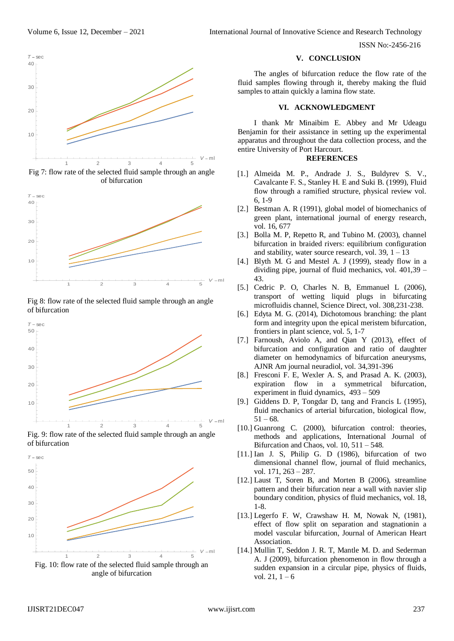Volume 6, Issue 12, December – 2021 International Journal of Innovative Science and Research Technology

ISSN No:-2456-216



Fig 7: flow rate of the selected fluid sample through an angle of bifurcation



Fig 8: flow rate of the selected fluid sample through an angle of bifurcation







#### **V. CONCLUSION**

The angles of bifurcation reduce the flow rate of the fluid samples flowing through it, thereby making the fluid samples to attain quickly a lamina flow state.

## **VI. ACKNOWLEDGMENT**

I thank Mr Minaibim E. Abbey and Mr Udeagu Benjamin for their assistance in setting up the experimental apparatus and throughout the data collection process, and the entire University of Port Harcourt.

#### **REFERENCES**

- [1.] Almeida M. P., Andrade J. S., Buldyrev S. V., Cavalcante F. S., Stanley H. E and Suki B. (1999), Fluid flow through a ramified structure, physical review vol. 6, 1-9
- [2.] Bestman A. R (1991), global model of biomechanics of green plant, international journal of energy research, vol. 16, 677
- [3.] Bolla M. P, Repetto R, and Tubino M. (2003), channel bifurcation in braided rivers: equilibrium configuration and stability, water source research, vol.  $39, 1 - 13$
- [4.] Blyth M. G and Mestel A. J (1999), steady flow in a dividing pipe, journal of fluid mechanics, vol. 401,39 – 43.
- [5.] Cedric P. O, Charles N. B, Emmanuel L (2006), transport of wetting liquid plugs in bifurcating microfluidis channel, Science Direct, vol. 308,231-238.
- [6.] Edyta M. G. (2014), Dichotomous branching: the plant form and integrity upon the epical meristem bifurcation, frontiers in plant science, vol. 5, 1-7
- [7.] Farnoush, Aviolo A, and Qian Y (2013), effect of bifurcation and configuration and ratio of daughter diameter on hemodynamics of bifurcation aneurysms, AJNR Am journal neuradiol, vol. 34,391-396
- [8.] Fresconi F. E, Wexler A. S, and Prasad A. K. (2003), expiration flow in a symmetrical bifurcation, experiment in fluid dynamics, 493 – 509
- [9.] Giddens D. P, Tongdar D, tang and Francis L (1995), fluid mechanics of arterial bifurcation, biological flow,  $51 - 68.$
- [10.] Guanrong C. (2000), bifurcation control: theories, methods and applications, International Journal of Bifurcation and Chaos, vol. 10, 511 – 548.
- [11.] Ian J. S, Philip G. D (1986), bifurcation of two dimensional channel flow, journal of fluid mechanics, vol. 171, 263 – 287.
- [12.] Laust T, Soren B, and Morten B (2006), streamline pattern and their bifurcation near a wall with navier slip boundary condition, physics of fluid mechanics, vol. 18, 1-8.
- [13.] Legerfo F. W, Crawshaw H. M, Nowak N, (1981), effect of flow split on separation and stagnationin a model vascular bifurcation, Journal of American Heart Association.
- [14.] Mullin T, Seddon J. R. T, Mantle M. D. and Sederman A. J (2009), bifurcation phenomenon in flow through a sudden expansion in a circular pipe, physics of fluids, vol.  $21, 1 - 6$